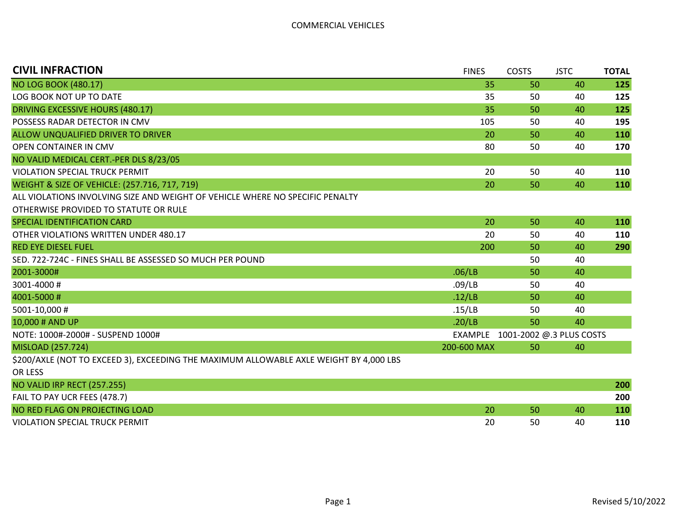| <b>CIVIL INFRACTION</b>                                                                | <b>FINES</b>   | <b>COSTS</b> | <b>JSTC</b>              | <b>TOTAL</b> |
|----------------------------------------------------------------------------------------|----------------|--------------|--------------------------|--------------|
| <b>NO LOG BOOK (480.17)</b>                                                            | 35             | 50           | 40                       | 125          |
| LOG BOOK NOT UP TO DATE                                                                | 35             | 50           | 40                       | 125          |
| DRIVING EXCESSIVE HOURS (480.17)                                                       | 35             | 50           | 40                       | 125          |
| POSSESS RADAR DETECTOR IN CMV                                                          | 105            | 50           | 40                       | 195          |
| ALLOW UNQUALIFIED DRIVER TO DRIVER                                                     | 20             | 50           | 40                       | 110          |
| OPEN CONTAINER IN CMV                                                                  | 80             | 50           | 40                       | 170          |
| NO VALID MEDICAL CERT.-PER DLS 8/23/05                                                 |                |              |                          |              |
| <b>VIOLATION SPECIAL TRUCK PERMIT</b>                                                  | 20             | 50           | 40                       | 110          |
| WEIGHT & SIZE OF VEHICLE: (257.716, 717, 719)                                          | 20             | 50           | 40                       | 110          |
| ALL VIOLATIONS INVOLVING SIZE AND WEIGHT OF VEHICLE WHERE NO SPECIFIC PENALTY          |                |              |                          |              |
| OTHERWISE PROVIDED TO STATUTE OR RULE                                                  |                |              |                          |              |
| SPECIAL IDENTIFICATION CARD                                                            | 20             | 50           | 40                       | 110          |
| OTHER VIOLATIONS WRITTEN UNDER 480.17                                                  | 20             | 50           | 40                       | 110          |
| <b>RED EYE DIESEL FUEL</b>                                                             | 200            | 50           | 40                       | 290          |
| SED. 722-724C - FINES SHALL BE ASSESSED SO MUCH PER POUND                              |                | 50           | 40                       |              |
| 2001-3000#                                                                             | .06/LB         | 50           | 40                       |              |
| 3001-4000#                                                                             | .09/LB         | 50           | 40                       |              |
| 4001-5000#                                                                             | .12/LB         | 50           | 40                       |              |
| 5001-10,000 #                                                                          | .15/LB         | 50           | 40                       |              |
| 10,000 # AND UP                                                                        | .20/LB         | 50           | 40                       |              |
| NOTE: 1000#-2000# - SUSPEND 1000#                                                      | <b>EXAMPLE</b> |              | 1001-2002 @.3 PLUS COSTS |              |
| MISLOAD (257.724)                                                                      | 200-600 MAX    | 50           | 40                       |              |
| \$200/AXLE (NOT TO EXCEED 3), EXCEEDING THE MAXIMUM ALLOWABLE AXLE WEIGHT BY 4,000 LBS |                |              |                          |              |
| OR LESS                                                                                |                |              |                          |              |
| <b>NO VALID IRP RECT (257.255)</b>                                                     |                |              |                          | 200          |

| $N$ valid in $N$                      |    |    | ZUU |
|---------------------------------------|----|----|-----|
| FAIL TO PAY UCR FEES (478.7)          |    |    | 200 |
| NO RED FLAG ON PROJECTING LOAD        |    | 40 | 110 |
| <b>VIOLATION SPECIAL TRUCK PERMIT</b> | 50 | 40 | 110 |